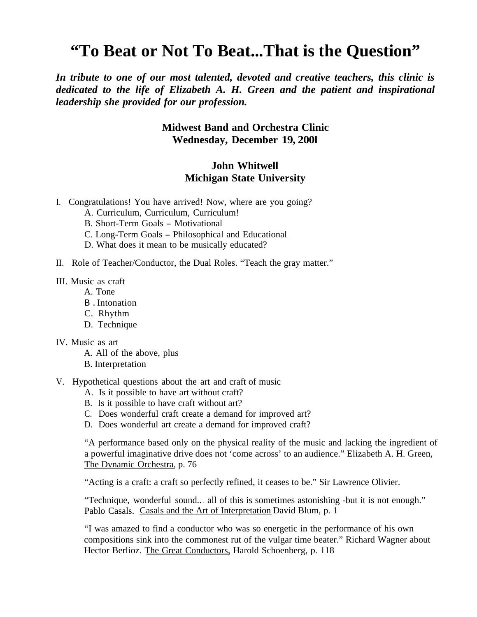# **"To Beat or Not To Beat...That is the Question"**

*In tribute to one of our most talented, devoted and creative teachers, this clinic is dedicated to the life of Elizabeth A. H. Green and the patient and inspirational leadership she provided for our profession.*

## **Midwest Band and Orchestra Clinic Wednesday, December 19, 200l**

## **John Whitwell Michigan State University**

- I. Congratulations! You have arrived! Now, where are you going?
	- A. Curriculum, Curriculum, Curriculum!
	- B. Short-Term Goals Motivational
	- C. Long-Term Goals Philosophical and Educational
	- D. What does it mean to be musically educated?
- II. Role of Teacher/Conductor, the Dual Roles. "Teach the gray matter."
- III. Music as craft
	- A. Tone
	- B . Intonation
	- C. Rhythm
	- D. Technique

#### IV. Music as art

- A. All of the above, plus
- B. Interpretation
- V. Hypothetical questions about the art and craft of music
	- A. Is it possible to have art without craft?
	- B. Is it possible to have craft without art?
	- C. Does wonderful craft create a demand for improved art?
	- D. Does wonderful art create a demand for improved craft?

"A performance based only on the physical reality of the music and lacking the ingredient of a powerful imaginative drive does not 'come across' to an audience." Elizabeth A. H. Green, The Dvnamic Orchestra, p. 76

"Acting is a craft: a craft so perfectly refined, it ceases to be." Sir Lawrence Olivier.

"Technique, wonderful sound.. . all of this is sometimes astonishing -but it is not enough." Pablo Casals. Casals and the Art of Interpretation David Blum, p. 1

"I was amazed to find a conductor who was so energetic in the performance of his own compositions sink into the commonest rut of the vulgar time beater." Richard Wagner about Hector Berlioz. The Great Conductors, Harold Schoenberg, p. 118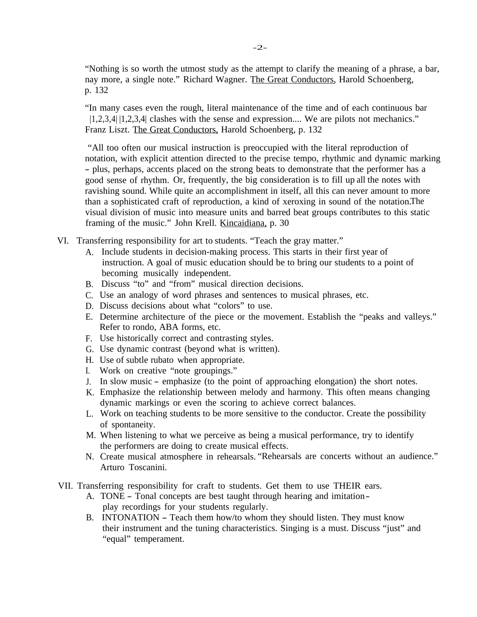"Nothing is so worth the utmost study as the attempt to clarify the meaning of a phrase, a bar, nay more, a single note." Richard Wagner. The Great Conductors, Harold Schoenberg, p. 132

"In many cases even the rough, literal maintenance of the time and of each continuous bar  $|1,2,3,4|$   $|1,2,3,4|$  clashes with the sense and expression.... We are pilots not mechanics." Franz Liszt. The Great Conductors, Harold Schoenberg, p. 132

"All too often our musical instruction is preoccupied with the literal reproduction of notation, with explicit attention directed to the precise tempo, rhythmic and dynamic marking - plus, perhaps, accents placed on the strong beats to demonstrate that the performer has a good sense of rhythm. Or, frequently, the big consideration is to fill up all the notes with ravishing sound. While quite an accomplishment in itself, all this can never amount to more than a sophisticated craft of reproduction, a kind of xeroxing in sound of the notation.The visual division of music into measure units and barred beat groups contributes to this static framing of the music." John Krell. Kincaidiana, p. 30

- VI. Transferring responsibility for art to students. "Teach the gray matter."
	- A. Include students in decision-making process. This starts in their first year of instruction. A goal of music education should be to bring our students to a point of becoming musically independent.
	- B. Discuss "to" and "from" musical direction decisions.
	- C. Use an analogy of word phrases and sentences to musical phrases, etc.
	- D. Discuss decisions about what "colors" to use.
	- E. Determine architecture of the piece or the movement. Establish the "peaks and valleys." Refer to rondo, ABA forms, etc.
	- F. Use historically correct and contrasting styles.
	- G. Use dynamic contrast (beyond what is written).
	- H. Use of subtle rubato when appropriate.
	- I. Work on creative "note groupings."
	- J. In slow music emphasize (to the point of approaching elongation) the short notes.
	- K. Emphasize the relationship between melody and harmony. This often means changing dynamic markings or even the scoring to achieve correct balances.
	- L. Work on teaching students to be more sensitive to the conductor. Create the possibility of spontaneity.
	- M. When listening to what we perceive as being a musical performance, try to identify the performers are doing to create musical effects.
	- N. Create musical atmosphere in rehearsals. "Rehearsals are concerts without an audience." Arturo Toscanini.

VII. Transferring responsibility for craft to students. Get them to use THEIR ears.

- A. TONE Tonal concepts are best taught through hearing and imitationplay recordings for your students regularly.
	- B. INTONATION Teach them how/to whom they should listen. They must know their instrument and the tuning characteristics. Singing is a must.Discuss "just" and "equal" temperament.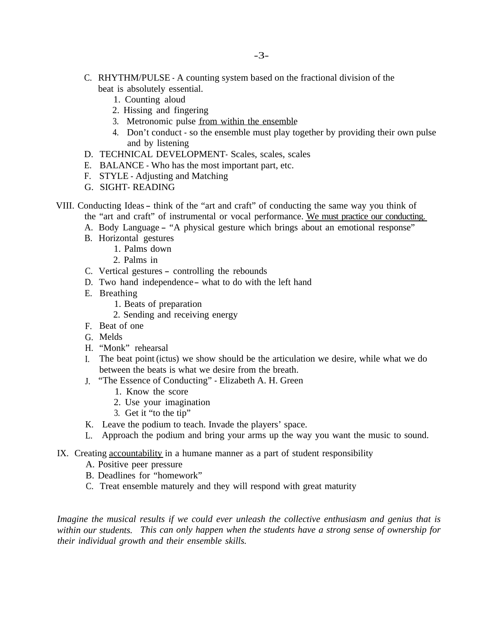- C. RHYTHM/PULSE A counting system based on the fractional division of the beat is absolutely essential.
	- 1. Counting aloud
	- 2. Hissing and fingering
	- 3. Metronomic pulse from within the ensemble
	- 4. Don't conduct so the ensemble must play together by providing their own pulse and by listening
- D. TECHNICAL DEVELOPMENT- Scales, scales, scales
- E. BALANCE Who has the most important part, etc.
- F. STYLE Adjusting and Matching
- G. SIGHT-READING
- VIII. Conducting Ideas think of the "art and craft" of conducting the same way you think of the "art and craft" of instrumental or vocal performance. We must practice our conducting.
	- A. Body Language "A physical gesture which brings about an emotional response"
	- B. Horizontal gestures
		- 1. Palms down
		- 2. Palms in
	- C. Vertical gestures controlling the rebounds
	- D. Two hand independence what to do with the left hand
	- E. Breathing
		- 1. Beats of preparation
		- 2. Sending and receiving energy
	- F. Beat of one
	- G. Melds
	- H. "Monk" rehearsal
	- I. The beat point (ictus) we show should be the articulation we desire, while what we do between the beats is what we desire from the breath.
	- J. "The Essence of Conducting" Elizabeth A. H. Green
		- 1. Know the score
		- 2. Use your imagination
		- 3. Get it "to the tip"
	- K. Leave the podium to teach. Invade the players' space.
	- L. Approach the podium and bring your arms up the way you want the music to sound.

IX. Creating accountability in a humane manner as a part of student responsibility

- A. Positive peer pressure
- B. Deadlines for "homework"
- C. Treat ensemble maturely and they will respond with great maturity

*Imagine the musical results if we could ever unleash the collective enthusiasm and genius that is within our students. This can only happen when the students have a strong sense of ownership for their individual growth and their ensemble skills.*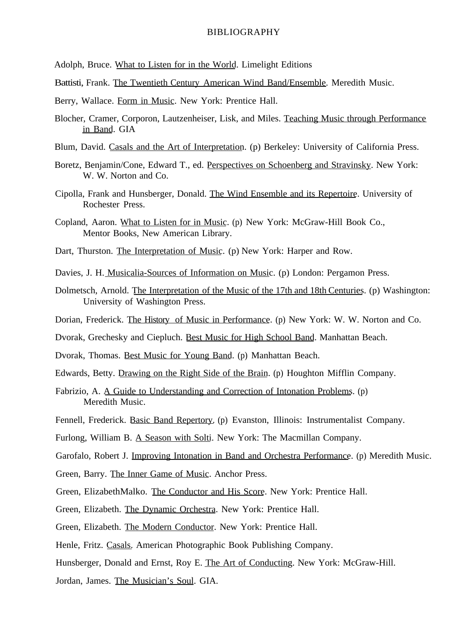#### BIBLIOGRAPHY

Adolph, Bruce. What to Listen for in the World. Limelight Editions

Battisti, Frank. The Twentieth Century American Wind Band/Ensemble. Meredith Music.

Berry, Wallace. Form in Music. New York: Prentice Hall.

- Blocher, Cramer, Corporon, Lautzenheiser, Lisk, and Miles. Teaching Music through Performance in Band. GIA
- Blum, David. Casals and the Art of Interpretation. (p) Berkeley: University of California Press.
- Boretz, Benjamin/Cone, Edward T., ed. Perspectives on Schoenberg and Stravinsky. New York: W. W. Norton and Co.
- Cipolla, Frank and Hunsberger, Donald. The Wind Ensemble and its Repertoire. University of Rochester Press.
- Copland, Aaron. What to Listen for in Music. (p) New York: McGraw-Hill Book Co., Mentor Books, New American Library.
- Dart, Thurston. The Interpretation of Music. (p) New York: Harper and Row.
- Davies, J. H. Musicalia-Sources of Information on Music. (p) London: Pergamon Press.
- Dolmetsch, Arnold. The Interpretation of the Music of the 17th and 18th Centuries. (p) Washington: University of Washington Press.
- Dorian, Frederick. The History of Music in Performance. (p) New York: W. W. Norton and Co.
- Dvorak, Grechesky and Ciepluch. Best Music for High School Band. Manhattan Beach.
- Dvorak, Thomas. Best Music for Young Band. (p) Manhattan Beach.

Edwards, Betty. Drawing on the Right Side of the Brain. (p) Houghton Mifflin Company.

- Fabrizio, A. A Guide to Understanding and Correction of Intonation Problems. (p) Meredith Music.
- Fennell, Frederick. Basic Band Repertory. (p) Evanston, Illinois: Instrumentalist Company.
- Furlong, William B. A Season with Solti. New York: The Macmillan Company.

Garofalo, Robert J. Improving Intonation in Band and Orchestra Performance. (p) Meredith Music.

- Green, Barry. The Inner Game of Music. Anchor Press.
- Green, ElizabethMalko. The Conductor and His Score. New York: Prentice Hall.
- Green, Elizabeth. The Dynamic Orchestra. New York: Prentice Hall.
- Green, Elizabeth. The Modern Conductor. New York: Prentice Hall.
- Henle, Fritz. Casals. American Photographic Book Publishing Company.
- Hunsberger, Donald and Ernst, Roy E. The Art of Conducting. New York: McGraw-Hill.

Jordan, James. The Musician's Soul. GIA.